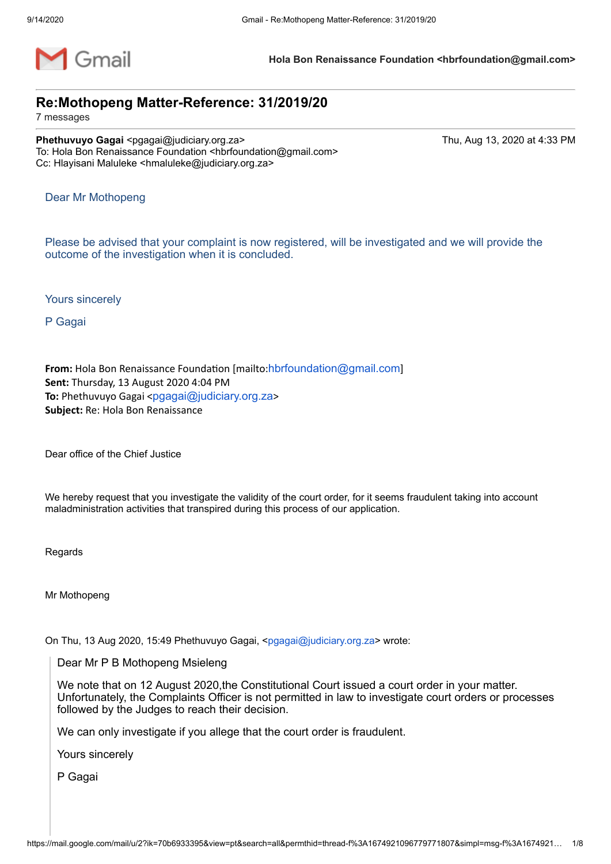

**Hola Bon Renaissance Foundation <hbrfoundation@gmail.com>**

# **Re:Mothopeng Matter-Reference: 31/2019/20**

7 messages

**Phethuvuyo Gagai <pgagai@judiciary.org.za> Thu, Aug 13, 2020 at 4:33 PM** To: Hola Bon Renaissance Foundation <hbrfoundation@gmail.com> Cc: Hlayisani Maluleke <hmaluleke@judiciary.org.za>

Dear Mr Mothopeng

Please be advised that your complaint is now registered, will be investigated and we will provide the outcome of the investigation when it is concluded.

Yours sincerely

P Gagai

From: Hola Bon Renaissance Foundation [mailto:[hbrfoundation@gmail.com](mailto:hbrfoundation@gmail.com)] **Sent:** Thursday, 13 August 2020 4:04 PM **To:** Phethuvuyo Gagai <[pgagai@judiciary.org.za](mailto:pgagai@judiciary.org.za)> **Subject:** Re: Hola Bon Renaissance

Dear office of the Chief Justice

We hereby request that you investigate the validity of the court order, for it seems fraudulent taking into account maladministration activities that transpired during this process of our application.

Regards

Mr Mothopeng

On Thu, 13 Aug 2020, 15:49 Phethuvuyo Gagai, [<pgagai@judiciary.org.za](mailto:pgagai@judiciary.org.za)> wrote:

Dear Mr P B Mothopeng Msieleng

We note that on 12 August 2020,the Constitutional Court issued a court order in your matter. Unfortunately, the Complaints Officer is not permitted in law to investigate court orders or processes followed by the Judges to reach their decision.

We can only investigate if you allege that the court order is fraudulent.

Yours sincerely

P Gagai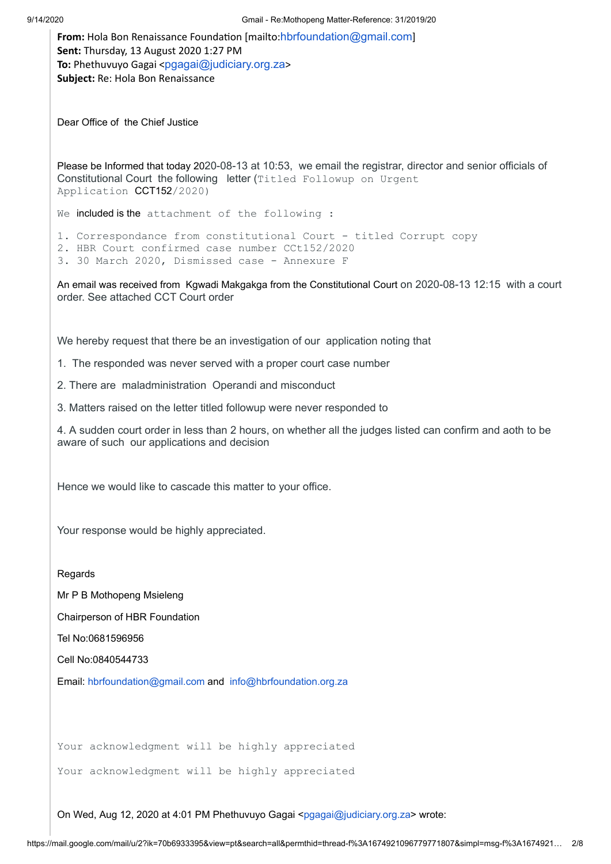**From:** Hola Bon Renaissance Foundation [mailto:[hbrfoundation@gmail.com](mailto:hbrfoundation@gmail.com)] **Sent:** Thursday, 13 August 2020 1:27 PM **To:** Phethuvuyo Gagai <[pgagai@judiciary.org.za](mailto:pgagai@judiciary.org.za)> **Subject:** Re: Hola Bon Renaissance

Dear Office of the Chief Justice

Please be Informed that today 2020-08-13 at 10:53, we email the registrar, director and senior officials of Constitutional Court the following letter (Titled Followup on Urgent Application CCT152/2020)

We included is the attachment of the following :

1. Correspondance from constitutional Court - titled Corrupt copy

2. HBR Court confirmed case number CCt152/2020

3. 30 March 2020, Dismissed case - Annexure F

An email was received from Kgwadi Makgakga from the Constitutional Court on 2020-08-13 12:15 with a court order. See attached CCT Court order

We hereby request that there be an investigation of our application noting that

1. The responded was never served with a proper court case number

2. There are maladministration Operandi and misconduct

3. Matters raised on the letter titled followup were never responded to

4. A sudden court order in less than 2 hours, on whether all the judges listed can confirm and aoth to be aware of such our applications and decision

Hence we would like to cascade this matter to your office.

Your response would be highly appreciated.

Regards

Mr P B Mothopeng Msieleng

Chairperson of HBR Foundation

Tel No:0681596956

Cell No:0840544733

Email: [hbrfoundation@gmail.com](mailto:hbrfoundation@gmail.com) and [info@hbrfoundation.org.za](mailto:info@hbrfoundation.org.za)

Your acknowledgment will be highly appreciated

Your acknowledgment will be highly appreciated

On Wed, Aug 12, 2020 at 4:01 PM Phethuvuyo Gagai <[pgagai@judiciary.org.za](mailto:pgagai@judiciary.org.za)> wrote: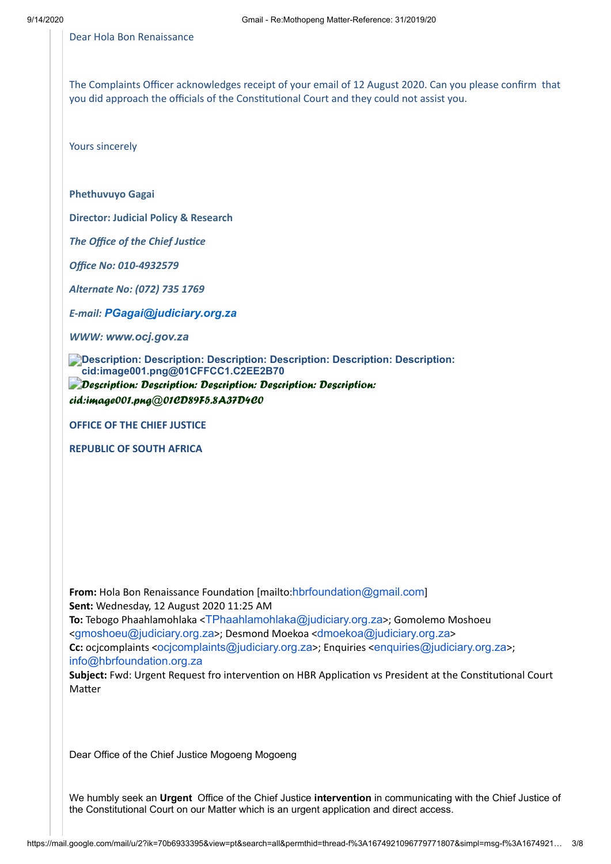Dear Hola Bon Renaissance

The Complaints Officer acknowledges receipt of your email of 12 August 2020. Can you please confirm that you did approach the officials of the Constitutional Court and they could not assist you.

Yours sincerely

**Phethuvuyo Gagai**

**Director: Judicial Policy & Research**

*The Office of the Chief Justice* 

*Office No: 010-4932579*

*Alternate No: (072) 735 1769*

*E-mail: [PGagai@judiciary.org.za](mailto:PGagai@judiciary.org.za)*

*WWW: [www.ocj.gov.za](https://owa.justice.gov.za/owa/redir.aspx?C=iWykR4H6Uk2SqqLFX9POmE_NyvbqJNAI-IZpGxzEHZx7CVbd15ceOHIZU9WLUq-viz-TBzSTCGM.&URL=http%3a%2f%2fwww.ocj.gov.za)*

**Description: Description: Description: Description: Description: Description: cid:image001.png@01CFFCC1.C2EE2B70** *Description: Description: Description: Description: Description:*

*cid:image001.png@01CD89F5.8A37D4C0*

**OFFICE OF THE CHIEF JUSTICE**

**REPUBLIC OF SOUTH AFRICA**

From: Hola Bon Renaissance Foundation [mailto:[hbrfoundation@gmail.com](mailto:hbrfoundation@gmail.com)] **Sent:** Wednesday, 12 August 2020 11:25 AM **To:** Tebogo Phaahlamohlaka <[TPhaahlamohlaka@judiciary.org.za](mailto:TPhaahlamohlaka@judiciary.org.za)>; Gomolemo Moshoeu <[gmoshoeu@judiciary.org.za](mailto:gmoshoeu@judiciary.org.za)>; Desmond Moekoa <[dmoekoa@judiciary.org.za](mailto:dmoekoa@judiciary.org.za)> **Cc:** ocicomplaints <ocicomplaints@judiciary.org.za>; Enquiries <[enquiries@judiciary.org.za](mailto:enquiries@judiciary.org.za)>; [info@hbrfoundation.org.za](mailto:info@hbrfoundation.org.za)

Subject: Fwd: Urgent Request fro intervention on HBR Application vs President at the Constitutional Court Matter

Dear Office of the Chief Justice Mogoeng Mogoeng

We humbly seek an **Urgent** Office of the Chief Justice **intervention** in communicating with the Chief Justice of the Constitutional Court on our Matter which is an urgent application and direct access.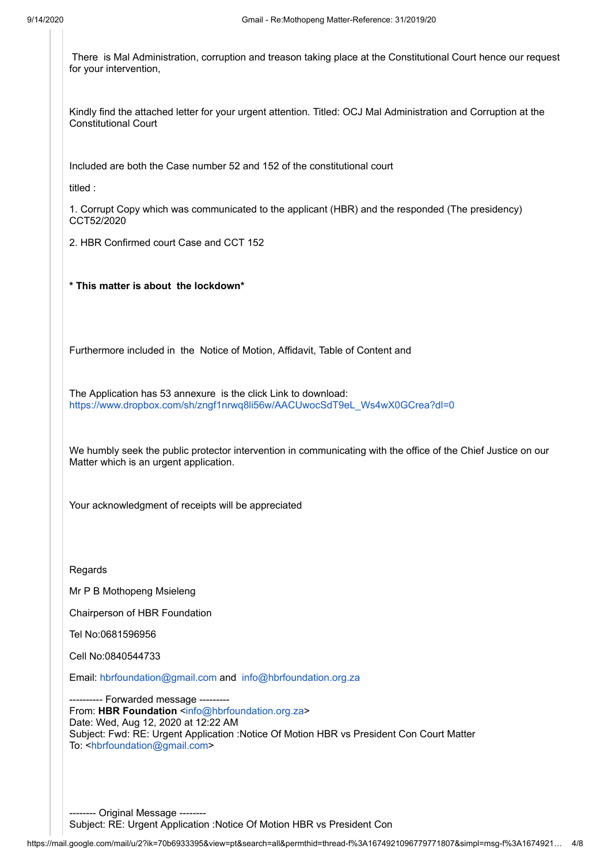There is Mal Administration, corruption and treason taking place at the Constitutional Court hence our request for your intervention,

Kindly find the attached letter for your urgent attention. Titled: OCJ Mal Administration and Corruption at the Constitutional Court

Included are both the Case number 52 and 152 of the constitutional court

titled :

1. Corrupt Copy which was communicated to the applicant (HBR) and the responded (The presidency) CCT52/2020

2. HBR Confirmed court Case and CCT 152

**\* This matter is about the lockdown\*** 

Furthermore included in the Notice of Motion, Affidavit, Table of Content and

The Application has 53 annexure is the click Link to download: [https://www.dropbox.com/sh/zngf1nrwq8li56w/AACUwocSdT9eL\\_Ws4wX0GCrea?dl=0](https://www.dropbox.com/sh/zngf1nrwq8li56w/AACUwocSdT9eL_Ws4wX0GCrea?dl=0)

We humbly seek the public protector intervention in communicating with the office of the Chief Justice on our Matter which is an urgent application.

Your acknowledgment of receipts will be appreciated

**Regards** 

Mr P B Mothopeng Msieleng

Chairperson of HBR Foundation

Tel No:0681596956

Cell No:0840544733

Email: [hbrfoundation@gmail.com](mailto:hbrfoundation@gmail.com) and [info@hbrfoundation.org.za](mailto:info@hbrfoundation.org.za)

--- Forwarded message ---From: HBR Foundation [<info@hbrfoundation.org.za](mailto:info@hbrfoundation.org.za)> Date: Wed, Aug 12, 2020 at 12:22 AM Subject: Fwd: RE: Urgent Application :Notice Of Motion HBR vs President Con Court Matter To: <[hbrfoundation@gmail.com](mailto:hbrfoundation@gmail.com)>

-------- Original Message -------- Subject: RE: Urgent Application :Notice Of Motion HBR vs President Con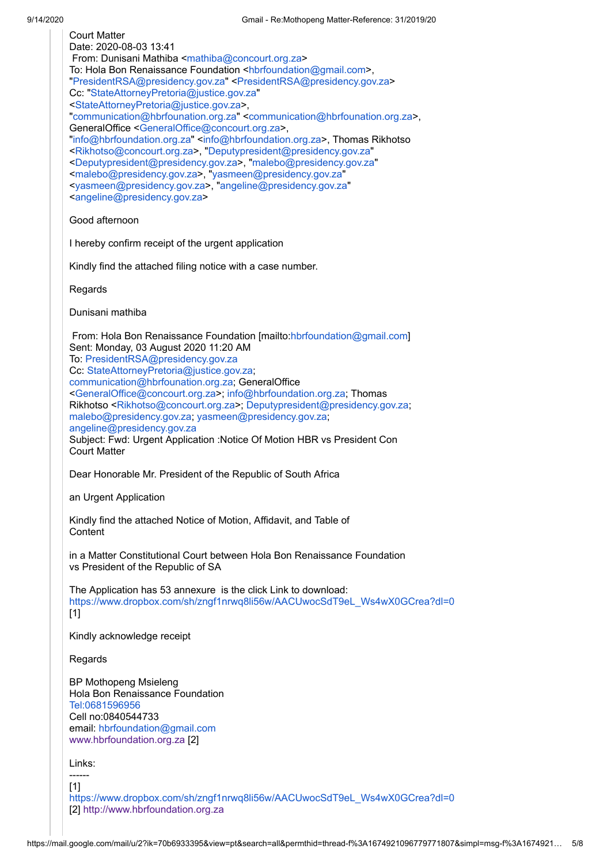| <b>Court Matter</b><br>Date: 2020-08-03 13:41<br>From: Dunisani Mathiba <mathiba@concourt.org.za><br/>To: Hola Bon Renaissance Foundation <hbrfoundation@gmail.com>,<br/>"PresidentRSA@presidency.gov.za" <presidentrsa@presidency.gov.za><br/>Cc: "StateAttorneyPretoria@justice.gov.za"<br/><stateattorneypretoria@justice.gov.za>,<br/>"communication@hbrfounation.org.za" <communication@hbrfounation.org.za>,<br/>GeneralOffice <generaloffice@concourt.org.za>,<br/>"info@hbrfoundation.org.za" <info@hbrfoundation.org.za>, Thomas Rikhotso<br/><rikhotso@concourt.org.za>, "Deputypresident@presidency.gov.za"<br/><deputypresident@presidency.gov.za>, "malebo@presidency.gov.za"<br/><malebo@presidency.gov.za>, "yasmeen@presidency.gov.za"<br/><yasmeen@presidency.gov.za>, "angeline@presidency.gov.za"<br/><angeline@presidency.gov.za></angeline@presidency.gov.za></yasmeen@presidency.gov.za></malebo@presidency.gov.za></deputypresident@presidency.gov.za></rikhotso@concourt.org.za></info@hbrfoundation.org.za></generaloffice@concourt.org.za></communication@hbrfounation.org.za></stateattorneypretoria@justice.gov.za></presidentrsa@presidency.gov.za></hbrfoundation@gmail.com></mathiba@concourt.org.za> |
|--------------------------------------------------------------------------------------------------------------------------------------------------------------------------------------------------------------------------------------------------------------------------------------------------------------------------------------------------------------------------------------------------------------------------------------------------------------------------------------------------------------------------------------------------------------------------------------------------------------------------------------------------------------------------------------------------------------------------------------------------------------------------------------------------------------------------------------------------------------------------------------------------------------------------------------------------------------------------------------------------------------------------------------------------------------------------------------------------------------------------------------------------------------------------------------------------------------------------------------|
| Good afternoon                                                                                                                                                                                                                                                                                                                                                                                                                                                                                                                                                                                                                                                                                                                                                                                                                                                                                                                                                                                                                                                                                                                                                                                                                       |
| I hereby confirm receipt of the urgent application                                                                                                                                                                                                                                                                                                                                                                                                                                                                                                                                                                                                                                                                                                                                                                                                                                                                                                                                                                                                                                                                                                                                                                                   |
| Kindly find the attached filing notice with a case number.                                                                                                                                                                                                                                                                                                                                                                                                                                                                                                                                                                                                                                                                                                                                                                                                                                                                                                                                                                                                                                                                                                                                                                           |
| Regards                                                                                                                                                                                                                                                                                                                                                                                                                                                                                                                                                                                                                                                                                                                                                                                                                                                                                                                                                                                                                                                                                                                                                                                                                              |
| Dunisani mathiba                                                                                                                                                                                                                                                                                                                                                                                                                                                                                                                                                                                                                                                                                                                                                                                                                                                                                                                                                                                                                                                                                                                                                                                                                     |
| From: Hola Bon Renaissance Foundation [mailto:hbrfoundation@gmail.com]<br>Sent: Monday, 03 August 2020 11:20 AM<br>To: PresidentRSA@presidency.gov.za<br>Cc: StateAttorneyPretoria@justice.gov.za;<br>communication@hbrfounation.org.za; GeneralOffice<br><generaloffice@concourt.org.za>; info@hbrfoundation.org.za; Thomas<br/>Rikhotso <rikhotso@concourt.org.za>; Deputypresident@presidency.gov.za;<br/>malebo@presidency.gov.za; yasmeen@presidency.gov.za;<br/>angeline@presidency.gov.za<br/>Subject: Fwd: Urgent Application : Notice Of Motion HBR vs President Con<br/><b>Court Matter</b></rikhotso@concourt.org.za></generaloffice@concourt.org.za>                                                                                                                                                                                                                                                                                                                                                                                                                                                                                                                                                                     |
| Dear Honorable Mr. President of the Republic of South Africa                                                                                                                                                                                                                                                                                                                                                                                                                                                                                                                                                                                                                                                                                                                                                                                                                                                                                                                                                                                                                                                                                                                                                                         |
| an Urgent Application                                                                                                                                                                                                                                                                                                                                                                                                                                                                                                                                                                                                                                                                                                                                                                                                                                                                                                                                                                                                                                                                                                                                                                                                                |
| Kindly find the attached Notice of Motion, Affidavit, and Table of<br>Content                                                                                                                                                                                                                                                                                                                                                                                                                                                                                                                                                                                                                                                                                                                                                                                                                                                                                                                                                                                                                                                                                                                                                        |
| in a Matter Constitutional Court between Hola Bon Renaissance Foundation<br>vs President of the Republic of SA                                                                                                                                                                                                                                                                                                                                                                                                                                                                                                                                                                                                                                                                                                                                                                                                                                                                                                                                                                                                                                                                                                                       |
| The Application has 53 annexure is the click Link to download:<br>https://www.dropbox.com/sh/zngf1nrwq8li56w/AACUwocSdT9eL_Ws4wX0GCrea?dl=0<br>$[1]$                                                                                                                                                                                                                                                                                                                                                                                                                                                                                                                                                                                                                                                                                                                                                                                                                                                                                                                                                                                                                                                                                 |
| Kindly acknowledge receipt                                                                                                                                                                                                                                                                                                                                                                                                                                                                                                                                                                                                                                                                                                                                                                                                                                                                                                                                                                                                                                                                                                                                                                                                           |
| Regards                                                                                                                                                                                                                                                                                                                                                                                                                                                                                                                                                                                                                                                                                                                                                                                                                                                                                                                                                                                                                                                                                                                                                                                                                              |
| <b>BP Mothopeng Msieleng</b><br>Hola Bon Renaissance Foundation<br>Tel:0681596956<br>Cell no:0840544733<br>email: hbrfoundation@gmail.com<br>www.hbrfoundation.org.za [2]                                                                                                                                                                                                                                                                                                                                                                                                                                                                                                                                                                                                                                                                                                                                                                                                                                                                                                                                                                                                                                                            |
| Links:                                                                                                                                                                                                                                                                                                                                                                                                                                                                                                                                                                                                                                                                                                                                                                                                                                                                                                                                                                                                                                                                                                                                                                                                                               |
| [1]<br>https://www.dropbox.com/sh/zngf1nrwq8li56w/AACUwocSdT9eL_Ws4wX0GCrea?dl=0                                                                                                                                                                                                                                                                                                                                                                                                                                                                                                                                                                                                                                                                                                                                                                                                                                                                                                                                                                                                                                                                                                                                                     |

[2] [http://www.hbrfoundation.org.za](http://www.hbrfoundation.org.za/)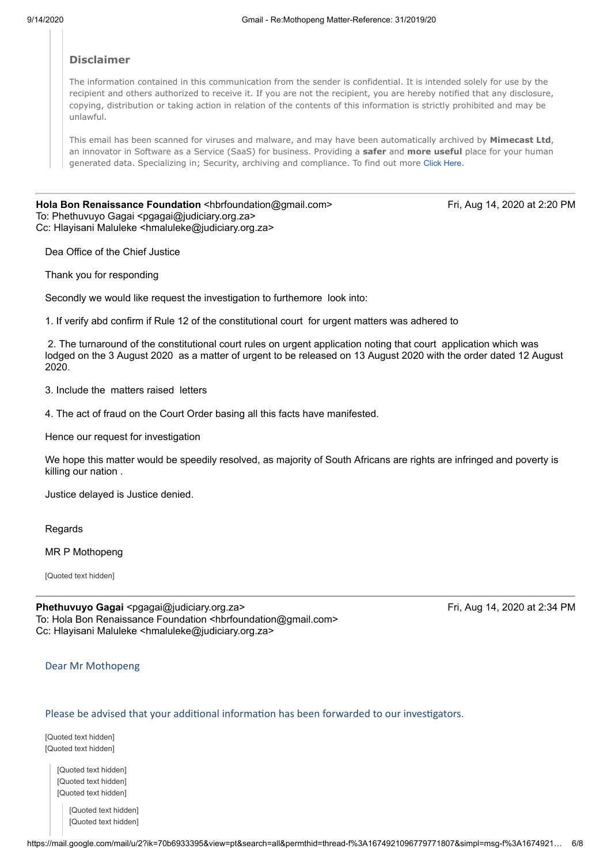### **Disclaimer**

The information contained in this communication from the sender is confidential. It is intended solely for use by the recipient and others authorized to receive it. If you are not the recipient, you are hereby notified that any disclosure, copying, distribution or taking action in relation of the contents of this information is strictly prohibited and may be unlawful.

This email has been scanned for viruses and malware, and may have been automatically archived by **Mimecast Ltd**, an innovator in Software as a Service (SaaS) for business. Providing a **safer** and **more useful** place for your human generated data. Specializing in; Security, archiving and compliance. To find out more Click [Here](http://www.mimecast.com/products/).

**Hola Bon Renaissance Foundation <hbrfoundation@gmail.com>
Fri, Aug 14, 2020 at 2:20 PM** To: Phethuvuyo Gagai <pgagai@judiciary.org.za> Cc: Hlayisani Maluleke <hmaluleke@judiciary.org.za>

Dea Office of the Chief Justice

Thank you for responding

Secondly we would like request the investigation to furthemore look into:

1. If verify abd confirm if Rule 12 of the constitutional court for urgent matters was adhered to

 2. The turnaround of the constitutional court rules on urgent application noting that court application which was lodged on the 3 August 2020 as a matter of urgent to be released on 13 August 2020 with the order dated 12 August 2020.

3. Include the matters raised letters

4. The act of fraud on the Court Order basing all this facts have manifested.

Hence our request for investigation

We hope this matter would be speedily resolved, as majority of South Africans are rights are infringed and poverty is killing our nation .

Justice delayed is Justice denied.

Regards

MR P Mothopeng

[Quoted text hidden]

| Phethuvuyo Gagai <pgagai@judiciary.org.za></pgagai@judiciary.org.za>                    |
|-----------------------------------------------------------------------------------------|
| To: Hola Bon Renaissance Foundation <hbrfoundation@gmail.com></hbrfoundation@gmail.com> |
| Cc: Hlayisani Maluleke <hmaluleke@judiciary.org.za></hmaluleke@judiciary.org.za>        |

**Phethuvuyo Gagai** <pgagai@judiciary.org.za> Fri, Aug 14, 2020 at 2:34 PM

Dear Mr Mothopeng

#### Please be advised that your additional information has been forwarded to our investigators.

[Quoted text hidden] [Quoted text hidden]

> [Quoted text hidden] [Quoted text hidden] [Quoted text hidden]

> > [Quoted text hidden] [Quoted text hidden]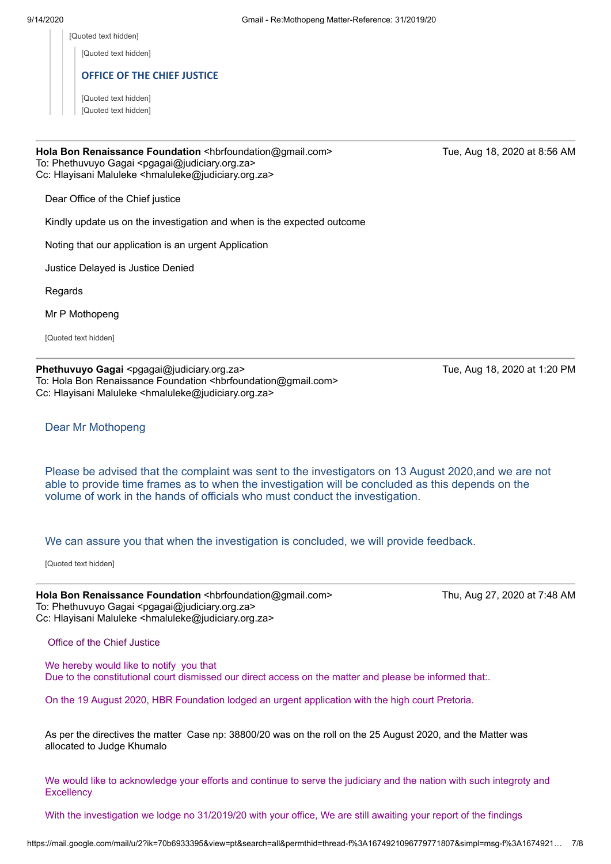[Quoted text hidden]

[Quoted text hidden]

### **OFFICE OF THE CHIEF JUSTICE**

[Quoted text hidden] [Quoted text hidden]

## **Hola Bon Renaissance Foundation <hbrfoundation@gmail.com>
Tue, Aug 18, 2020 at 8:56 AM** To: Phethuvuyo Gagai <pgagai@judiciary.org.za>

Cc: Hlayisani Maluleke <hmaluleke@judiciary.org.za>

Dear Office of the Chief justice

Kindly update us on the investigation and when is the expected outcome

Noting that our application is an urgent Application

Justice Delayed is Justice Denied

**Regards** 

Mr P Mothopeng

[Quoted text hidden]

**Phethuvuyo Gagai <pgagai@judiciary.org.za> Tue, Aug 18, 2020 at 1:20 PM** To: Hola Bon Renaissance Foundation <hbrfoundation@gmail.com> Cc: Hlayisani Maluleke <hmaluleke@judiciary.org.za>

Dear Mr Mothopeng

Please be advised that the complaint was sent to the investigators on 13 August 2020,and we are not able to provide time frames as to when the investigation will be concluded as this depends on the volume of work in the hands of officials who must conduct the investigation.

We can assure you that when the investigation is concluded, we will provide feedback.

[Quoted text hidden]

Hola Bon Renaissance Foundation <hbrfoundation@gmail.com> Thu, Aug 27, 2020 at 7:48 AM To: Phethuvuyo Gagai <pgagai@judiciary.org.za> Cc: Hlayisani Maluleke <hmaluleke@judiciary.org.za>

Office of the Chief Justice

We hereby would like to notify you that Due to the constitutional court dismissed our direct access on the matter and please be informed that:.

On the 19 August 2020, HBR Foundation lodged an urgent application with the high court Pretoria.

As per the directives the matter Case np: 38800/20 was on the roll on the 25 August 2020, and the Matter was allocated to Judge Khumalo

We would like to acknowledge your efforts and continue to serve the judiciary and the nation with such integroty and **Excellency** 

With the investigation we lodge no 31/2019/20 with your office, We are still awaiting your report of the findings